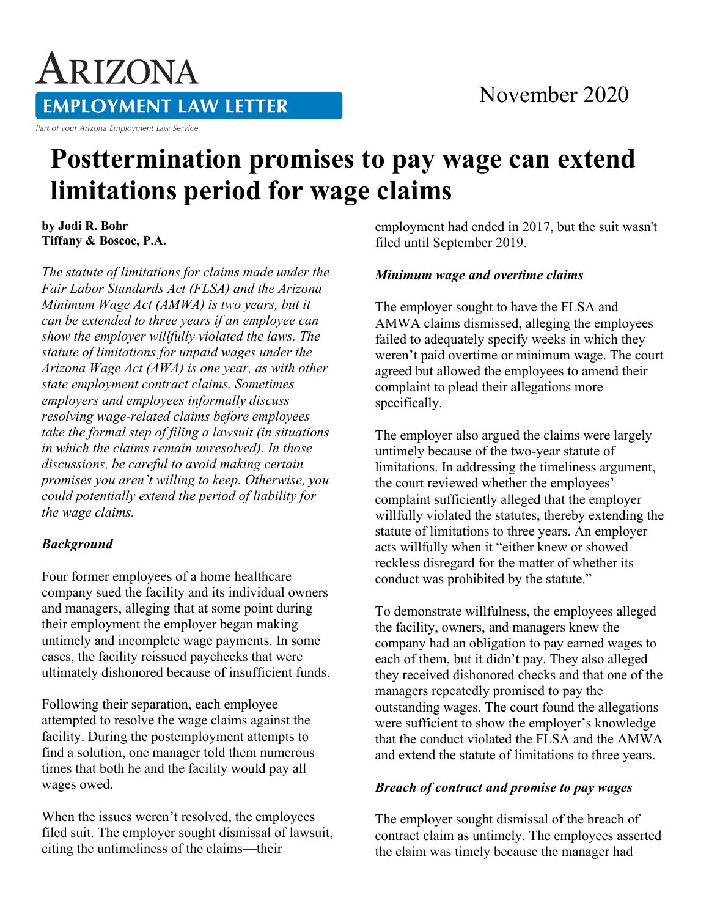# ARIZONA **EMPLOYMENT LAW LETTER**

Part of your Arizona Employment Law Service

# **Posttermination promises to pay wage can extend limitations period for wage claims**

**by Jodi R. Bohr Tiffany & Boscoe, P.A.**

*The statute of limitations for claims made under the Fair Labor Standards Act (FLSA) and the Arizona Minimum Wage Act (AMWA) is two years, but it can be extended to three years if an employee can show the employer willfully violated the laws. The statute of limitations for unpaid wages under the Arizona Wage Act (AWA) is one year, as with other state employment contract claims. Sometimes employers and employees informally discuss resolving wage-related claims before employees take the formal step of filing a lawsuit (in situations in which the claims remain unresolved). In those discussions, be careful to avoid making certain promises you aren't willing to keep. Otherwise, you could potentially extend the period of liability for the wage claims.*

## *Background*

Four former employees of a home healthcare company sued the facility and its individual owners and managers, alleging that at some point during their employment the employer began making untimely and incomplete wage payments. In some cases, the facility reissued paychecks that were ultimately dishonored because of insufficient funds.

Following their separation, each employee attempted to resolve the wage claims against the facility. During the postemployment attempts to find a solution, one manager told them numerous times that both he and the facility would pay all wages owed.

When the issues weren't resolved, the employees filed suit. The employer sought dismissal of lawsuit, citing the untimeliness of the claims—their

employment had ended in 2017, but the suit wasn't filed until September 2019.

#### *Minimum wage and overtime claims*

The employer sought to have the FLSA and AMWA claims dismissed, alleging the employees failed to adequately specify weeks in which they weren't paid overtime or minimum wage. The court agreed but allowed the employees to amend their complaint to plead their allegations more specifically.

The employer also argued the claims were largely untimely because of the two-year statute of limitations. In addressing the timeliness argument, the court reviewed whether the employees' complaint sufficiently alleged that the employer willfully violated the statutes, thereby extending the statute of limitations to three years. An employer acts willfully when it "either knew or showed reckless disregard for the matter of whether its conduct was prohibited by the statute."

To demonstrate willfulness, the employees alleged the facility, owners, and managers knew the company had an obligation to pay earned wages to each of them, but it didn't pay. They also alleged they received dishonored checks and that one of the managers repeatedly promised to pay the outstanding wages. The court found the allegations were sufficient to show the employer's knowledge that the conduct violated the FLSA and the AMWA and extend the statute of limitations to three years.

## *Breach of contract and promise to pay wages*

The employer sought dismissal of the breach of contract claim as untimely. The employees asserted the claim was timely because the manager had